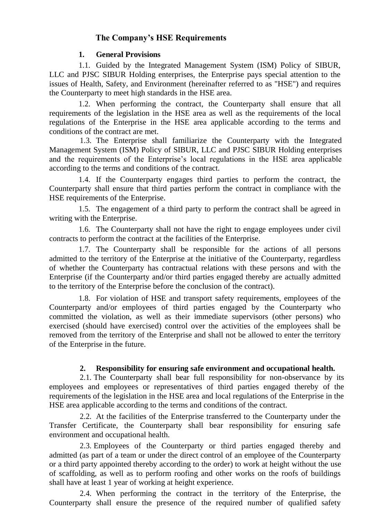# **The Company's HSE Requirements**

#### **1. General Provisions**

1.1. Guided by the Integrated Management System (ISM) Policy of SIBUR, LLC and PJSC SIBUR Holding enterprises, the Enterprise pays special attention to the issues of Health, Safety, and Environment (hereinafter referred to as "HSE") and requires the Counterparty to meet high standards in the HSE area.

1.2. When performing the contract, the Counterparty shall ensure that all requirements of the legislation in the HSE area as well as the requirements of the local regulations of the Enterprise in the HSE area applicable according to the terms and conditions of the contract are met.

1.3. The Enterprise shall familiarize the Counterparty with the Integrated Management System (ISM) Policy of SIBUR, LLC and PJSC SIBUR Holding enterprises and the requirements of the Enterprise's local regulations in the HSE area applicable according to the terms and conditions of the contract.

1.4. If the Counterparty engages third parties to perform the contract, the Counterparty shall ensure that third parties perform the contract in compliance with the HSE requirements of the Enterprise.

1.5. The engagement of a third party to perform the contract shall be agreed in writing with the Enterprise.

1.6. The Counterparty shall not have the right to engage employees under civil contracts to perform the contract at the facilities of the Enterprise.

1.7. The Counterparty shall be responsible for the actions of all persons admitted to the territory of the Enterprise at the initiative of the Counterparty, regardless of whether the Counterparty has contractual relations with these persons and with the Enterprise (if the Counterparty and/or third parties engaged thereby are actually admitted to the territory of the Enterprise before the conclusion of the contract).

1.8. For violation of HSE and transport safety requirements, employees of the Counterparty and/or employees of third parties engaged by the Counterparty who committed the violation, as well as their immediate supervisors (other persons) who exercised (should have exercised) control over the activities of the employees shall be removed from the territory of the Enterprise and shall not be allowed to enter the territory of the Enterprise in the future.

### **2. Responsibility for ensuring safe environment and occupational health.**

2.1. The Counterparty shall bear full responsibility for non-observance by its employees and employees or representatives of third parties engaged thereby of the requirements of the legislation in the HSE area and local regulations of the Enterprise in the HSE area applicable according to the terms and conditions of the contract.

2.2. At the facilities of the Enterprise transferred to the Counterparty under the Transfer Certificate, the Counterparty shall bear responsibility for ensuring safe environment and occupational health.

2.3. Employees of the Counterparty or third parties engaged thereby and admitted (as part of a team or under the direct control of an employee of the Counterparty or a third party appointed thereby according to the order) to work at height without the use of scaffolding, as well as to perform roofing and other works on the roofs of buildings shall have at least 1 year of working at height experience.

2.4. When performing the contract in the territory of the Enterprise, the Counterparty shall ensure the presence of the required number of qualified safety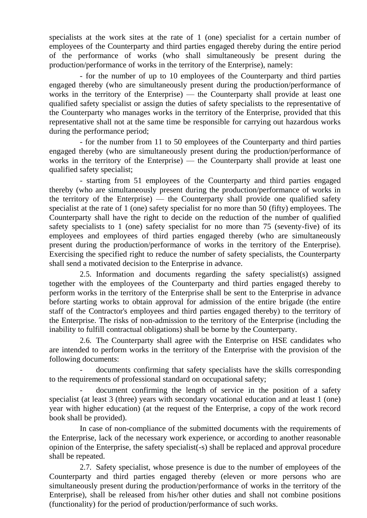specialists at the work sites at the rate of 1 (one) specialist for a certain number of employees of the Counterparty and third parties engaged thereby during the entire period of the performance of works (who shall simultaneously be present during the production/performance of works in the territory of the Enterprise), namely:

- for the number of up to 10 employees of the Counterparty and third parties engaged thereby (who are simultaneously present during the production/performance of works in the territory of the Enterprise) — the Counterparty shall provide at least one qualified safety specialist or assign the duties of safety specialists to the representative of the Counterparty who manages works in the territory of the Enterprise, provided that this representative shall not at the same time be responsible for carrying out hazardous works during the performance period;

- for the number from 11 to 50 employees of the Counterparty and third parties engaged thereby (who are simultaneously present during the production/performance of works in the territory of the Enterprise) — the Counterparty shall provide at least one qualified safety specialist;

- starting from 51 employees of the Counterparty and third parties engaged thereby (who are simultaneously present during the production/performance of works in the territory of the Enterprise) — the Counterparty shall provide one qualified safety specialist at the rate of 1 (one) safety specialist for no more than 50 (fifty) employees. The Counterparty shall have the right to decide on the reduction of the number of qualified safety specialists to 1 (one) safety specialist for no more than 75 (seventy-five) of its employees and employees of third parties engaged thereby (who are simultaneously present during the production/performance of works in the territory of the Enterprise). Exercising the specified right to reduce the number of safety specialists, the Counterparty shall send a motivated decision to the Enterprise in advance.

2.5. Information and documents regarding the safety specialist(s) assigned together with the employees of the Counterparty and third parties engaged thereby to perform works in the territory of the Enterprise shall be sent to the Enterprise in advance before starting works to obtain approval for admission of the entire brigade (the entire staff of the Contractor's employees and third parties engaged thereby) to the territory of the Enterprise. The risks of non-admission to the territory of the Enterprise (including the inability to fulfill contractual obligations) shall be borne by the Counterparty.

2.6. The Counterparty shall agree with the Enterprise on HSE candidates who are intended to perform works in the territory of the Enterprise with the provision of the following documents:

- documents confirming that safety specialists have the skills corresponding to the requirements of professional standard on occupational safety;

document confirming the length of service in the position of a safety specialist (at least 3 (three) years with secondary vocational education and at least 1 (one) year with higher education) (at the request of the Enterprise, a copy of the work record book shall be provided).

In case of non-compliance of the submitted documents with the requirements of the Enterprise, lack of the necessary work experience, or according to another reasonable opinion of the Enterprise, the safety specialist(-s) shall be replaced and approval procedure shall be repeated.

2.7. Safety specialist, whose presence is due to the number of employees of the Counterparty and third parties engaged thereby (eleven or more persons who are simultaneously present during the production/performance of works in the territory of the Enterprise), shall be released from his/her other duties and shall not combine positions (functionality) for the period of production/performance of such works.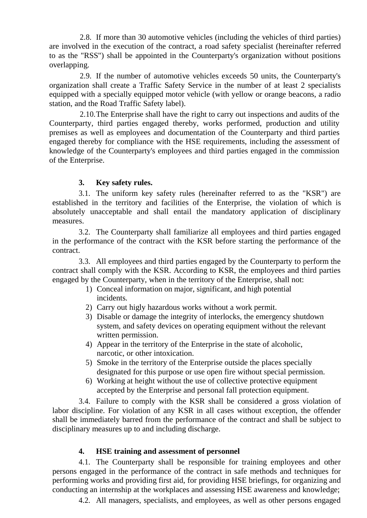2.8. If more than 30 automotive vehicles (including the vehicles of third parties) are involved in the execution of the contract, a road safety specialist (hereinafter referred to as the "RSS") shall be appointed in the Counterparty's organization without positions overlapping.

2.9. If the number of automotive vehicles exceeds 50 units, the Counterparty's organization shall create a Traffic Safety Service in the number of at least 2 specialists equipped with a specially equipped motor vehicle (with yellow or orange beacons, a radio station, and the Road Traffic Safety label).

2.10.The Enterprise shall have the right to carry out inspections and audits of the Counterparty, third parties engaged thereby, works performed, production and utility premises as well as employees and documentation of the Counterparty and third parties engaged thereby for compliance with the HSE requirements, including the assessment of knowledge of the Counterparty's employees and third parties engaged in the commission of the Enterprise.

### **3. Key safety rules.**

3.1. The uniform key safety rules (hereinafter referred to as the "KSR") are established in the territory and facilities of the Enterprise, the violation of which is absolutely unacceptable and shall entail the mandatory application of disciplinary measures.

3.2. The Counterparty shall familiarize all employees and third parties engaged in the performance of the contract with the KSR before starting the performance of the contract.

3.3. All employees and third parties engaged by the Counterparty to perform the contract shall comply with the KSR. According to KSR, the employees and third parties engaged by the Counterparty, when in the territory of the Enterprise, shall not:

- 1) Conceal information on major, significant, and high potential incidents.
- 2) Carry out higly hazardous works without a work permit.
- 3) Disable or damage the integrity of interlocks, the emergency shutdown system, and safety devices on operating equipment without the relevant written permission.
- 4) Appear in the territory of the Enterprise in the state of alcoholic, narcotic, or other intoxication.
- 5) Smoke in the territory of the Enterprise outside the places specially designated for this purpose or use open fire without special permission.
- 6) Working at height without the use of collective protective equipment accepted by the Enterprise and personal fall protection equipment.

3.4. Failure to comply with the KSR shall be considered a gross violation of labor discipline. For violation of any KSR in all cases without exception, the offender shall be immediately barred from the performance of the contract and shall be subject to disciplinary measures up to and including discharge.

### **4. HSE training and assessment of personnel**

4.1. The Counterparty shall be responsible for training employees and other persons engaged in the performance of the contract in safe methods and techniques for performing works and providing first aid, for providing HSE briefings, for organizing and conducting an internship at the workplaces and assessing HSE awareness and knowledge;

4.2. All managers, specialists, and employees, as well as other persons engaged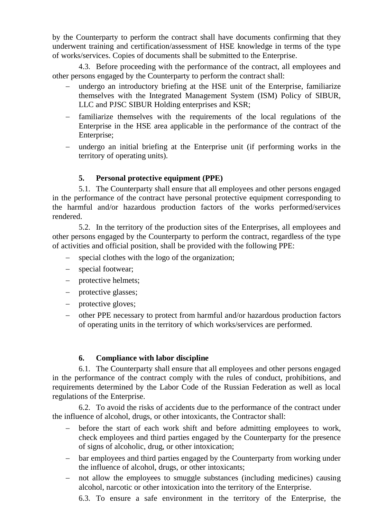by the Counterparty to perform the contract shall have documents confirming that they underwent training and certification/assessment of HSE knowledge in terms of the type of works/services. Copies of documents shall be submitted to the Enterprise.

4.3. Before proceeding with the performance of the contract, all employees and other persons engaged by the Counterparty to perform the contract shall:

- undergo an introductory briefing at the HSE unit of the Enterprise, familiarize themselves with the Integrated Management System (ISM) Policy of SIBUR, LLC and PJSC SIBUR Holding enterprises and KSR;
- familiarize themselves with the requirements of the local regulations of the Enterprise in the HSE area applicable in the performance of the contract of the Enterprise;
- undergo an initial briefing at the Enterprise unit (if performing works in the territory of operating units).

# **5. Personal protective equipment (PPE)**

5.1. The Counterparty shall ensure that all employees and other persons engaged in the performance of the contract have personal protective equipment corresponding to the harmful and/or hazardous production factors of the works performed/services rendered.

5.2. In the territory of the production sites of the Enterprises, all employees and other persons engaged by the Counterparty to perform the contract, regardless of the type of activities and official position, shall be provided with the following PPE:

- special clothes with the logo of the organization;
- special footwear;
- protective helmets;
- protective glasses;
- protective gloves;
- other PPE necessary to protect from harmful and/or hazardous production factors of operating units in the territory of which works/services are performed.

### **6. Compliance with labor discipline**

6.1. The Counterparty shall ensure that all employees and other persons engaged in the performance of the contract comply with the rules of conduct, prohibitions, and requirements determined by the Labor Code of the Russian Federation as well as local regulations of the Enterprise.

6.2. To avoid the risks of accidents due to the performance of the contract under the influence of alcohol, drugs, or other intoxicants, the Contractor shall:

- before the start of each work shift and before admitting employees to work, check employees and third parties engaged by the Counterparty for the presence of signs of alcoholic, drug, or other intoxication;
- bar employees and third parties engaged by the Counterparty from working under the influence of alcohol, drugs, or other intoxicants;
- not allow the employees to smuggle substances (including medicines) causing alcohol, narcotic or other intoxication into the territory of the Enterprise.

6.3. To ensure a safe environment in the territory of the Enterprise, the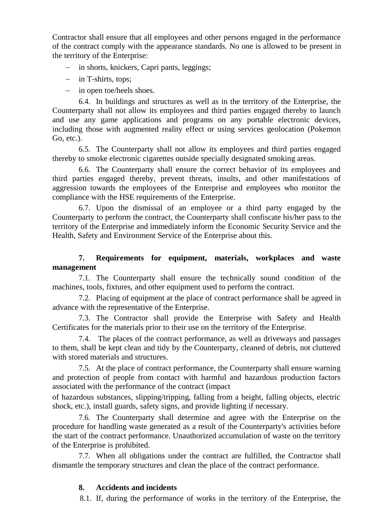Contractor shall ensure that all employees and other persons engaged in the performance of the contract comply with the appearance standards. No one is allowed to be present in the territory of the Enterprise:

- in shorts, knickers, Capri pants, leggings;
- in T-shirts, tops;
- in open toe/heels shoes.

6.4. In buildings and structures as well as in the territory of the Enterprise, the Counterparty shall not allow its employees and third parties engaged thereby to launch and use any game applications and programs on any portable electronic devices, including those with augmented reality effect or using services geolocation (Pokemon Go, etc.).

6.5. The Counterparty shall not allow its employees and third parties engaged thereby to smoke electronic cigarettes outside specially designated smoking areas.

6.6. The Counterparty shall ensure the correct behavior of its employees and third parties engaged thereby, prevent threats, insults, and other manifestations of aggression towards the employees of the Enterprise and employees who monitor the compliance with the HSE requirements of the Enterprise.

6.7. Upon the dismissal of an employee or a third party engaged by the Counterparty to perform the contract, the Counterparty shall confiscate his/her pass to the territory of the Enterprise and immediately inform the Economic Security Service and the Health, Safety and Environment Service of the Enterprise about this.

## **7. Requirements for equipment, materials, workplaces and waste management**

7.1. The Counterparty shall ensure the technically sound condition of the machines, tools, fixtures, and other equipment used to perform the contract.

7.2. Placing of equipment at the place of contract performance shall be agreed in advance with the representative of the Enterprise.

7.3. The Contractor shall provide the Enterprise with Safety and Health Certificates for the materials prior to their use on the territory of the Enterprise.

7.4. The places of the contract performance, as well as driveways and passages to them, shall be kept clean and tidy by the Counterparty, cleaned of debris, not cluttered with stored materials and structures.

7.5. At the place of contract performance, the Counterparty shall ensure warning and protection of people from contact with harmful and hazardous production factors associated with the performance of the contract (impact

of hazardous substances, slipping/tripping, falling from a height, falling objects, electric shock, etc.), install guards, safety signs, and provide lighting if necessary.

7.6. The Counterparty shall determine and agree with the Enterprise on the procedure for handling waste generated as a result of the Counterparty's activities before the start of the contract performance. Unauthorized accumulation of waste on the territory of the Enterprise is prohibited.

7.7. When all obligations under the contract are fulfilled, the Contractor shall dismantle the temporary structures and clean the place of the contract performance.

### **8. Accidents and incidents**

8.1. If, during the performance of works in the territory of the Enterprise, the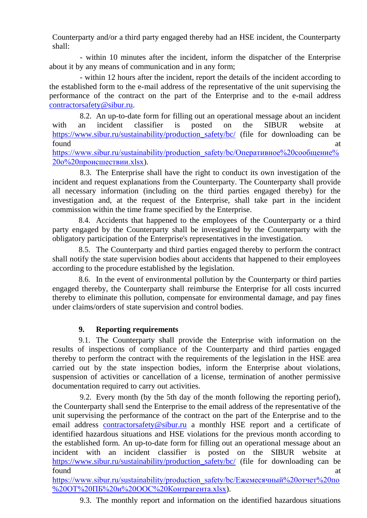Counterparty and/or a third party engaged thereby had an HSE incident, the Counterparty shall:

- within 10 minutes after the incident, inform the dispatcher of the Enterprise about it by any means of communication and in any form;

- within 12 hours after the incident, report the details of the incident according to the established form to the e-mail address of the representative of the unit supervising the performance of the contract on the part of the Enterprise and to the e-mail address [contractorsafety@sibur.ru.](mailto:contractorsafety@sibur.ru)

8.2. An up-to-date form for filling out an operational message about an incident with an incident classifier is posted on the SIBUR website at [https://www.sibur.ru/sustainability/production\\_safety/bc/](https://www.sibur.ru/sustainability/production_safety/bc/) (file for downloading can be found at a set of  $\alpha$  at  $\alpha$  at  $\alpha$  at  $\alpha$ 

[https://www.sibur.ru/sustainability/production\\_safety/bc/Оперативное%20сообщение%](https://www.sibur.ru/sustainability/production_safety/bc/Оперативное%20сообщение%20о%20происшествии.xlsx) [20о%20происшествии.xlsx\)](https://www.sibur.ru/sustainability/production_safety/bc/Оперативное%20сообщение%20о%20происшествии.xlsx).

8.3. The Enterprise shall have the right to conduct its own investigation of the incident and request explanations from the Counterparty. The Counterparty shall provide all necessary information (including on the third parties engaged thereby) for the investigation and, at the request of the Enterprise, shall take part in the incident commission within the time frame specified by the Enterprise.

8.4. Accidents that happened to the employees of the Counterparty or a third party engaged by the Counterparty shall be investigated by the Counterparty with the obligatory participation of the Enterprise's representatives in the investigation.

8.5. The Counterparty and third parties engaged thereby to perform the contract shall notify the state supervision bodies about accidents that happened to their employees according to the procedure established by the legislation.

8.6. In the event of environmental pollution by the Counterparty or third parties engaged thereby, the Counterparty shall reimburse the Enterprise for all costs incurred thereby to eliminate this pollution, compensate for environmental damage, and pay fines under claims/orders of state supervision and control bodies.

# **9. Reporting requirements**

9.1. The Counterparty shall provide the Enterprise with information on the results of inspections of compliance of the Counterparty and third parties engaged thereby to perform the contract with the requirements of the legislation in the HSE area carried out by the state inspection bodies, inform the Enterprise about violations, suspension of activities or cancellation of a license, termination of another permissive documentation required to carry out activities.

9.2. Every month (by the 5th day of the month following the reporting periof), the Counterparty shall send the Enterprise to the email address of the representative of the unit supervising the performance of the contract on the part of the Enterprise and to the email address [contractorsafety@sibur.ru](mailto:contractorsafety@sibur.ru) a monthly HSE report and a certificate of identified hazardous situations and HSE violations for the previous month according to the established form. An up-to-date form for filling out an operational message about an incident with an incident classifier is posted on the SIBUR website at https://www.sibur.ru/sustainability/production safety/bc/ (file for downloading can be found at a set of  $\alpha$  at  $\alpha$  at  $\alpha$  at  $\alpha$ 

[https://www.sibur.ru/sustainability/production\\_safety/bc/Ежемесячный%20отчет%20по](https://www.sibur.ru/sustainability/production_safety/bc/Ежемесячный%20отчет%20по%20ОТ%20ПБ%20и%20ООС%20Контрагента.xlsx) [%20ОТ%20ПБ%20и%20ООС%20Контрагента.xlsx\)](https://www.sibur.ru/sustainability/production_safety/bc/Ежемесячный%20отчет%20по%20ОТ%20ПБ%20и%20ООС%20Контрагента.xlsx).

9.3. The monthly report and information on the identified hazardous situations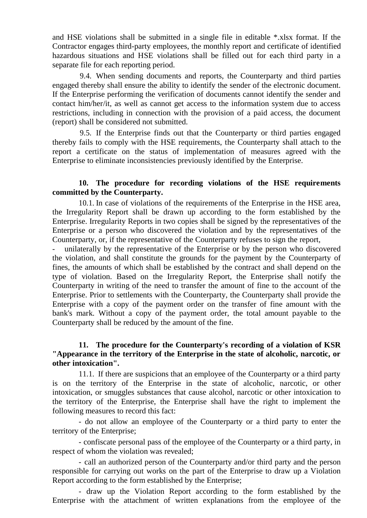and HSE violations shall be submitted in a single file in editable \*.xlsx format. If the Contractor engages third-party employees, the monthly report and certificate of identified hazardous situations and HSE violations shall be filled out for each third party in a separate file for each reporting period.

9.4. When sending documents and reports, the Counterparty and third parties engaged thereby shall ensure the ability to identify the sender of the electronic document. If the Enterprise performing the verification of documents cannot identify the sender and contact him/her/it, as well as cannot get access to the information system due to access restrictions, including in connection with the provision of a paid access, the document (report) shall be considered not submitted.

9.5. If the Enterprise finds out that the Counterparty or third parties engaged thereby fails to comply with the HSE requirements, the Counterparty shall attach to the report a certificate on the status of implementation of measures agreed with the Enterprise to eliminate inconsistencies previously identified by the Enterprise.

#### **10. The procedure for recording violations of the HSE requirements committed by the Counterparty.**

10.1. In case of violations of the requirements of the Enterprise in the HSE area, the Irregularity Report shall be drawn up according to the form established by the Enterprise. Irregularity Reports in two copies shall be signed by the representatives of the Enterprise or a person who discovered the violation and by the representatives of the Counterparty, or, if the representative of the Counterparty refuses to sign the report,

unilaterally by the representative of the Enterprise or by the person who discovered the violation, and shall constitute the grounds for the payment by the Counterparty of fines, the amounts of which shall be established by the contract and shall depend on the type of violation. Based on the Irregularity Report, the Enterprise shall notify the Counterparty in writing of the need to transfer the amount of fine to the account of the Enterprise. Prior to settlements with the Counterparty, the Counterparty shall provide the Enterprise with a copy of the payment order on the transfer of fine amount with the bank's mark. Without a copy of the payment order, the total amount payable to the Counterparty shall be reduced by the amount of the fine.

## **11. The procedure for the Counterparty's recording of a violation of KSR "Appearance in the territory of the Enterprise in the state of alcoholic, narcotic, or other intoxication".**

11.1. If there are suspicions that an employee of the Counterparty or a third party is on the territory of the Enterprise in the state of alcoholic, narcotic, or other intoxication, or smuggles substances that cause alcohol, narcotic or other intoxication to the territory of the Enterprise, the Enterprise shall have the right to implement the following measures to record this fact:

- do not allow an employee of the Counterparty or a third party to enter the territory of the Enterprise;

- confiscate personal pass of the employee of the Counterparty or a third party, in respect of whom the violation was revealed;

- call an authorized person of the Counterparty and/or third party and the person responsible for carrying out works on the part of the Enterprise to draw up a Violation Report according to the form established by the Enterprise;

- draw up the Violation Report according to the form established by the Enterprise with the attachment of written explanations from the employee of the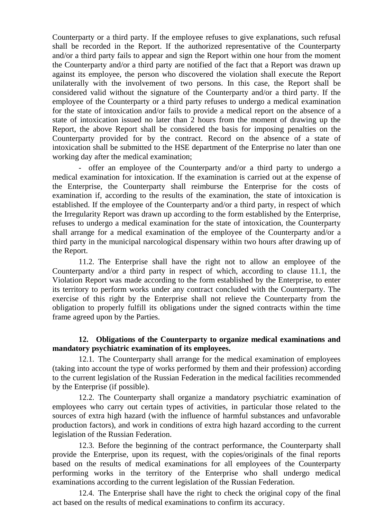Counterparty or a third party. If the employee refuses to give explanations, such refusal shall be recorded in the Report. If the authorized representative of the Counterparty and/or a third party fails to appear and sign the Report within one hour from the moment the Counterparty and/or a third party are notified of the fact that a Report was drawn up against its employee, the person who discovered the violation shall execute the Report unilaterally with the involvement of two persons. In this case, the Report shall be considered valid without the signature of the Counterparty and/or a third party. If the employee of the Counterparty or a third party refuses to undergo a medical examination for the state of intoxication and/or fails to provide a medical report on the absence of a state of intoxication issued no later than 2 hours from the moment of drawing up the Report, the above Report shall be considered the basis for imposing penalties on the Counterparty provided for by the contract. Record on the absence of a state of intoxication shall be submitted to the HSE department of the Enterprise no later than one working day after the medical examination;

- offer an employee of the Counterparty and/or a third party to undergo a medical examination for intoxication. If the examination is carried out at the expense of the Enterprise, the Counterparty shall reimburse the Enterprise for the costs of examination if, according to the results of the examination, the state of intoxication is established. If the employee of the Counterparty and/or a third party, in respect of which the Irregularity Report was drawn up according to the form established by the Enterprise, refuses to undergo a medical examination for the state of intoxication, the Counterparty shall arrange for a medical examination of the employee of the Counterparty and/or a third party in the municipal narcological dispensary within two hours after drawing up of the Report.

11.2. The Enterprise shall have the right not to allow an employee of the Counterparty and/or a third party in respect of which, according to clause 11.1, the Violation Report was made according to the form established by the Enterprise, to enter its territory to perform works under any contract concluded with the Counterparty. The exercise of this right by the Enterprise shall not relieve the Counterparty from the obligation to properly fulfill its obligations under the signed contracts within the time frame agreed upon by the Parties.

### **12. Obligations of the Counterparty to organize medical examinations and mandatory psychiatric examination of its employees.**

12.1. The Counterparty shall arrange for the medical examination of employees (taking into account the type of works performed by them and their profession) according to the current legislation of the Russian Federation in the medical facilities recommended by the Enterprise (if possible).

12.2. The Counterparty shall organize a mandatory psychiatric examination of employees who carry out certain types of activities, in particular those related to the sources of extra high hazard (with the influence of harmful substances and unfavorable production factors), and work in conditions of extra high hazard according to the current legislation of the Russian Federation.

12.3. Before the beginning of the contract performance, the Counterparty shall provide the Enterprise, upon its request, with the copies/originals of the final reports based on the results of medical examinations for all employees of the Counterparty performing works in the territory of the Enterprise who shall undergo medical examinations according to the current legislation of the Russian Federation.

12.4. The Enterprise shall have the right to check the original copy of the final act based on the results of medical examinations to confirm its accuracy.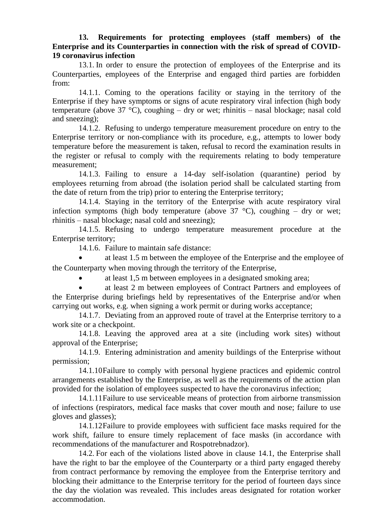#### **13. Requirements for protecting employees (staff members) of the Enterprise and its Counterparties in connection with the risk of spread of COVID-19 coronavirus infection**

13.1. In order to ensure the protection of employees of the Enterprise and its Counterparties, employees of the Enterprise and engaged third parties are forbidden from:

14.1.1. Coming to the operations facility or staying in the territory of the Enterprise if they have symptoms or signs of acute respiratory viral infection (high body temperature (above 37  $^{\circ}$ C), coughing – dry or wet; rhinitis – nasal blockage; nasal cold and sneezing);

14.1.2. Refusing to undergo temperature measurement procedure on entry to the Enterprise territory or non-compliance with its procedure, e.g., attempts to lower body temperature before the measurement is taken, refusal to record the examination results in the register or refusal to comply with the requirements relating to body temperature measurement;

14.1.3. Failing to ensure a 14-day self-isolation (quarantine) period by employees returning from abroad (the isolation period shall be calculated starting from the date of return from the trip) prior to entering the Enterprise territory;

14.1.4. Staying in the territory of the Enterprise with acute respiratory viral infection symptoms (high body temperature (above  $37^{\circ}$ C), coughing – dry or wet; rhinitis – nasal blockage; nasal cold and sneezing);

14.1.5. Refusing to undergo temperature measurement procedure at the Enterprise territory;

14.1.6. Failure to maintain safe distance:

 at least 1.5 m between the employee of the Enterprise and the employee of the Counterparty when moving through the territory of the Enterprise,

at least 1,5 m between employees in a designated smoking area;

 at least 2 m between employees of Contract Partners and employees of the Enterprise during briefings held by representatives of the Enterprise and/or when carrying out works, e.g. when signing a work permit or during works acceptance;

14.1.7. Deviating from an approved route of travel at the Enterprise territory to a work site or a checkpoint.

14.1.8. Leaving the approved area at a site (including work sites) without approval of the Enterprise;

14.1.9. Entering administration and amenity buildings of the Enterprise without permission;

14.1.10Failure to comply with personal hygiene practices and epidemic control arrangements established by the Enterprise, as well as the requirements of the action plan provided for the isolation of employees suspected to have the coronavirus infection;

14.1.11Failure to use serviceable means of protection from airborne transmission of infections (respirators, medical face masks that cover mouth and nose; failure to use gloves and glasses);

14.1.12Failure to provide employees with sufficient face masks required for the work shift, failure to ensure timely replacement of face masks (in accordance with recommendations of the manufacturer and Rospotrebnadzor).

14.2. For each of the violations listed above in clause 14.1, the Enterprise shall have the right to bar the employee of the Counterparty or a third party engaged thereby from contract performance by removing the employee from the Enterprise territory and blocking their admittance to the Enterprise territory for the period of fourteen days since the day the violation was revealed. This includes areas designated for rotation worker accommodation.